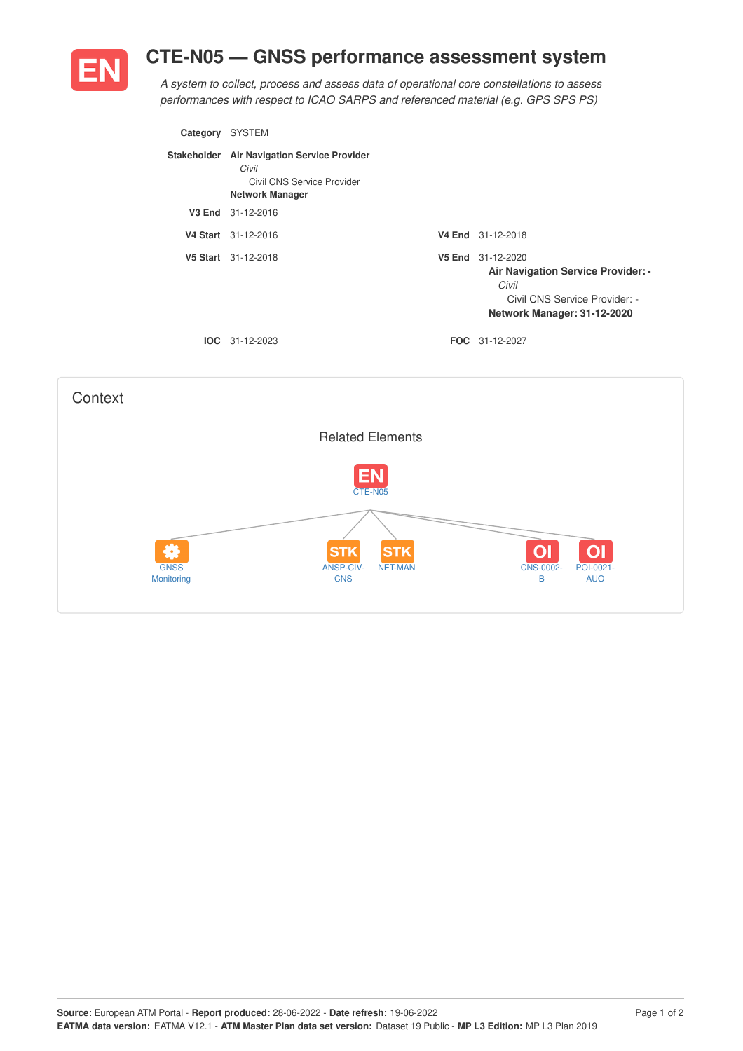## **CTE-N05 — GNSS performance assessment system**



*A system to collect, process and assess data of operational core constellations to assess performances with respect to ICAO SARPS and referenced material (e.g. GPS SPS PS)*

| Category | <b>SYSTEM</b>                                                                                                |        |                                                                                                                                  |
|----------|--------------------------------------------------------------------------------------------------------------|--------|----------------------------------------------------------------------------------------------------------------------------------|
|          | Stakeholder Air Navigation Service Provider<br>Civil<br>Civil CNS Service Provider<br><b>Network Manager</b> |        |                                                                                                                                  |
|          | V3 End 31-12-2016                                                                                            |        |                                                                                                                                  |
|          | V4 Start 31-12-2016                                                                                          |        | V4 End 31-12-2018                                                                                                                |
|          | V5 Start 31-12-2018                                                                                          | V5 End | 31-12-2020<br><b>Air Navigation Service Provider: -</b><br>Civil<br>Civil CNS Service Provider: -<br>Network Manager: 31-12-2020 |
|          | $IOC 31-12-2023$                                                                                             |        | <b>FOC</b> 31-12-2027                                                                                                            |